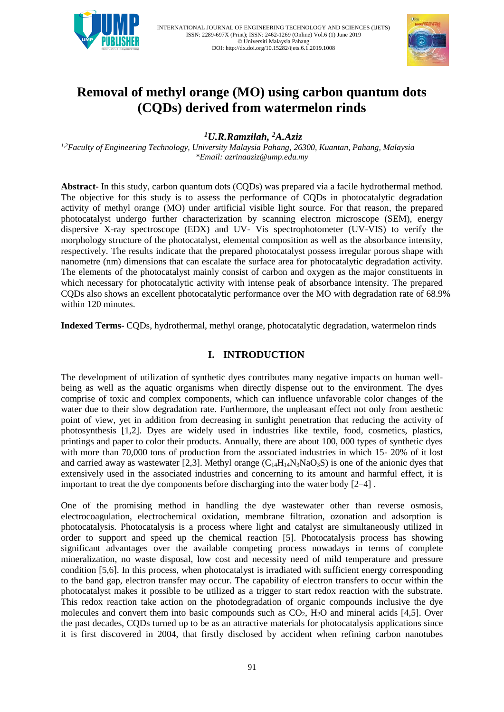

INTERNATIONAL JOURNAL OF ENGINEERING TECHNOLOGY AND SCIENCES (IJETS) ISSN: 2289-697X (Print); ISSN: 2462-1269 (Online) Vol.6 (1) June 2019 © Universiti Malaysia Pahang DOI: http://dx.doi.org/10.15282/ijets.6.1.2019.1008



# **Removal of methyl orange (MO) using carbon quantum dots (CQDs) derived from watermelon rinds**

*<sup>1</sup>U.R.Ramzilah, <sup>2</sup>A.Aziz*

*1,2Faculty of Engineering Technology, University Malaysia Pahang, 26300, Kuantan, Pahang, Malaysia \*Email: azrinaaziz@ump.edu.my*

**Abstract**- In this study, carbon quantum dots (CQDs) was prepared via a facile hydrothermal method. The objective for this study is to assess the performance of CQDs in photocatalytic degradation activity of methyl orange (MO) under artificial visible light source. For that reason, the prepared photocatalyst undergo further characterization by scanning electron microscope (SEM), energy dispersive X-ray spectroscope (EDX) and UV- Vis spectrophotometer (UV-VIS) to verify the morphology structure of the photocatalyst, elemental composition as well as the absorbance intensity, respectively. The results indicate that the prepared photocatalyst possess irregular porous shape with nanometre (nm) dimensions that can escalate the surface area for photocatalytic degradation activity. The elements of the photocatalyst mainly consist of carbon and oxygen as the major constituents in which necessary for photocatalytic activity with intense peak of absorbance intensity. The prepared CQDs also shows an excellent photocatalytic performance over the MO with degradation rate of 68.9% within 120 minutes.

**Indexed Terms**- CQDs, hydrothermal, methyl orange, photocatalytic degradation, watermelon rinds

# **I. INTRODUCTION**

The development of utilization of synthetic dyes contributes many negative impacts on human wellbeing as well as the aquatic organisms when directly dispense out to the environment. The dyes comprise of toxic and complex components, which can influence unfavorable color changes of the water due to their slow degradation rate. Furthermore, the unpleasant effect not only from aesthetic point of view, yet in addition from decreasing in sunlight penetration that reducing the activity of photosynthesis [1,2]. Dyes are widely used in industries like textile, food, cosmetics, plastics, printings and paper to color their products. Annually, there are about 100, 000 types of synthetic dyes with more than 70,000 tons of production from the associated industries in which 15- 20% of it lost and carried away as wastewater [2,3]. Methyl orange  $(C_{14}H_{14}N_3NaO_3S)$  is one of the anionic dyes that extensively used in the associated industries and concerning to its amount and harmful effect, it is important to treat the dye components before discharging into the water body [2–4] .

One of the promising method in handling the dye wastewater other than reverse osmosis, electrocoagulation, electrochemical oxidation, membrane filtration, ozonation and adsorption is photocatalysis. Photocatalysis is a process where light and catalyst are simultaneously utilized in order to support and speed up the chemical reaction [5]. Photocatalysis process has showing significant advantages over the available competing process nowadays in terms of complete mineralization, no waste disposal, low cost and necessity need of mild temperature and pressure condition [5,6]. In this process, when photocatalyst is irradiated with sufficient energy corresponding to the band gap, electron transfer may occur. The capability of electron transfers to occur within the photocatalyst makes it possible to be utilized as a trigger to start redox reaction with the substrate. This redox reaction take action on the photodegradation of organic compounds inclusive the dye molecules and convert them into basic compounds such as  $CO<sub>2</sub>$ ,  $H<sub>2</sub>O$  and mineral acids [4,5]. Over the past decades, CQDs turned up to be as an attractive materials for photocatalysis applications since it is first discovered in 2004, that firstly disclosed by accident when refining carbon nanotubes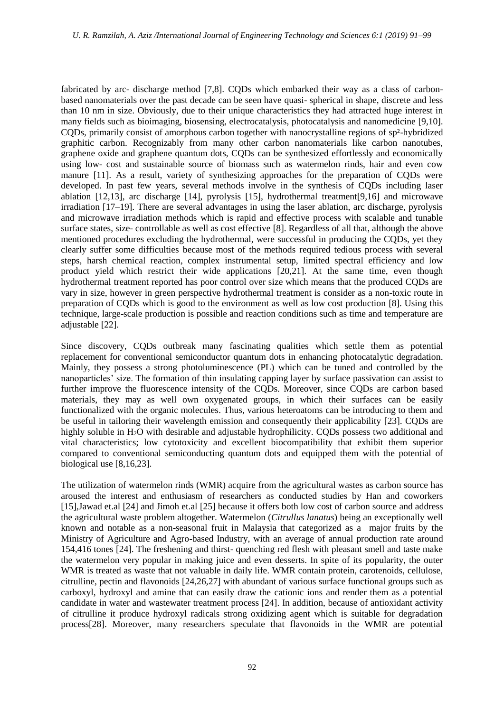fabricated by arc- discharge method [7,8]. CODs which embarked their way as a class of carbonbased nanomaterials over the past decade can be seen have quasi- spherical in shape, discrete and less than 10 nm in size. Obviously, due to their unique characteristics they had attracted huge interest in many fields such as bioimaging, biosensing, electrocatalysis, photocatalysis and nanomedicine [9,10]. CQDs, primarily consist of amorphous carbon together with nanocrystalline regions of sp²-hybridized graphitic carbon. Recognizably from many other carbon nanomaterials like carbon nanotubes, graphene oxide and graphene quantum dots, CQDs can be synthesized effortlessly and economically using low- cost and sustainable source of biomass such as watermelon rinds, hair and even cow manure [11]. As a result, variety of synthesizing approaches for the preparation of CQDs were developed. In past few years, several methods involve in the synthesis of CQDs including laser ablation [12,13], arc discharge [14], pyrolysis [15], hydrothermal treatment[9,16] and microwave irradiation [17–19]. There are several advantages in using the laser ablation, arc discharge, pyrolysis and microwave irradiation methods which is rapid and effective process with scalable and tunable surface states, size- controllable as well as cost effective [8]. Regardless of all that, although the above mentioned procedures excluding the hydrothermal, were successful in producing the CQDs, yet they clearly suffer some difficulties because most of the methods required tedious process with several steps, harsh chemical reaction, complex instrumental setup, limited spectral efficiency and low product yield which restrict their wide applications [20,21]. At the same time, even though hydrothermal treatment reported has poor control over size which means that the produced CQDs are vary in size, however in green perspective hydrothermal treatment is consider as a non-toxic route in preparation of CQDs which is good to the environment as well as low cost production [8]. Using this technique, large-scale production is possible and reaction conditions such as time and temperature are adjustable [22].

Since discovery, CQDs outbreak many fascinating qualities which settle them as potential replacement for conventional semiconductor quantum dots in enhancing photocatalytic degradation. Mainly, they possess a strong photoluminescence (PL) which can be tuned and controlled by the nanoparticles' size. The formation of thin insulating capping layer by surface passivation can assist to further improve the fluorescence intensity of the CODs. Moreover, since CODs are carbon based materials, they may as well own oxygenated groups, in which their surfaces can be easily functionalized with the organic molecules. Thus, various heteroatoms can be introducing to them and be useful in tailoring their wavelength emission and consequently their applicability [23]. CQDs are highly soluble in H<sub>2</sub>O with desirable and adjustable hydrophilicity. CODs possess two additional and vital characteristics; low cytotoxicity and excellent biocompatibility that exhibit them superior compared to conventional semiconducting quantum dots and equipped them with the potential of biological use [8,16,23].

The utilization of watermelon rinds (WMR) acquire from the agricultural wastes as carbon source has aroused the interest and enthusiasm of researchers as conducted studies by Han and coworkers [15],Jawad et.al [24] and Jimoh et.al [25] because it offers both low cost of carbon source and address the agricultural waste problem altogether. Watermelon (*Citrullus lanatus*) being an exceptionally well known and notable as a non-seasonal fruit in Malaysia that categorized as a major fruits by the Ministry of Agriculture and Agro-based Industry, with an average of annual production rate around 154,416 tones [24]. The freshening and thirst- quenching red flesh with pleasant smell and taste make the watermelon very popular in making juice and even desserts. In spite of its popularity, the outer WMR is treated as waste that not valuable in daily life. WMR contain protein, carotenoids, cellulose, citrulline, pectin and flavonoids [24,26,27] with abundant of various surface functional groups such as carboxyl, hydroxyl and amine that can easily draw the cationic ions and render them as a potential candidate in water and wastewater treatment process [24]. In addition, because of antioxidant activity of citrulline it produce hydroxyl radicals strong oxidizing agent which is suitable for degradation process[28]. Moreover, many researchers speculate that flavonoids in the WMR are potential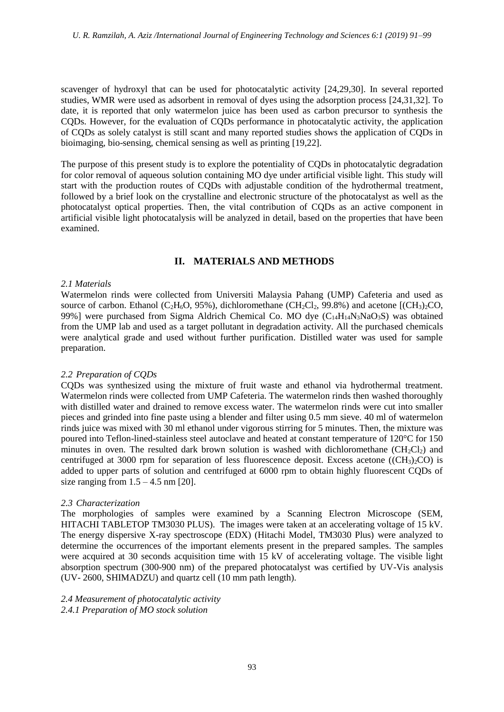scavenger of hydroxyl that can be used for photocatalytic activity [24,29,30]. In several reported studies, WMR were used as adsorbent in removal of dyes using the adsorption process [24,31,32]. To date, it is reported that only watermelon juice has been used as carbon precursor to synthesis the CQDs. However, for the evaluation of CQDs performance in photocatalytic activity, the application of CQDs as solely catalyst is still scant and many reported studies shows the application of CQDs in bioimaging, bio-sensing, chemical sensing as well as printing [19,22].

The purpose of this present study is to explore the potentiality of CQDs in photocatalytic degradation for color removal of aqueous solution containing MO dye under artificial visible light. This study will start with the production routes of CQDs with adjustable condition of the hydrothermal treatment, followed by a brief look on the crystalline and electronic structure of the photocatalyst as well as the photocatalyst optical properties. Then, the vital contribution of CQDs as an active component in artificial visible light photocatalysis will be analyzed in detail, based on the properties that have been examined.

# **II. MATERIALS AND METHODS**

# *2.1 Materials*

Watermelon rinds were collected from Universiti Malaysia Pahang (UMP) Cafeteria and used as source of carbon. Ethanol (C<sub>2</sub>H<sub>6</sub>O, 95%), dichloromethane (CH<sub>2</sub>Cl<sub>2</sub>, 99.8%) and acetone [(CH<sub>3</sub>)<sub>2</sub>CO, 99%] were purchased from Sigma Aldrich Chemical Co. MO dye  $(C_{14}H_{14}N_3NaO_3S)$  was obtained from the UMP lab and used as a target pollutant in degradation activity. All the purchased chemicals were analytical grade and used without further purification. Distilled water was used for sample preparation.

# *2.2 Preparation of CQDs*

CQDs was synthesized using the mixture of fruit waste and ethanol via hydrothermal treatment. Watermelon rinds were collected from UMP Cafeteria. The watermelon rinds then washed thoroughly with distilled water and drained to remove excess water. The watermelon rinds were cut into smaller pieces and grinded into fine paste using a blender and filter using 0.5 mm sieve. 40 ml of watermelon rinds juice was mixed with 30 ml ethanol under vigorous stirring for 5 minutes. Then, the mixture was poured into Teflon-lined-stainless steel autoclave and heated at constant temperature of 120°C for 150 minutes in oven. The resulted dark brown solution is washed with dichloromethane  $(CH_2Cl_2)$  and centrifuged at 3000 rpm for separation of less fluorescence deposit. Excess acetone ((CH<sub>3</sub>) $_2$ CO) is added to upper parts of solution and centrifuged at 6000 rpm to obtain highly fluorescent CQDs of size ranging from  $1.5 - 4.5$  nm  $[20]$ .

# *2.3 Characterization*

The morphologies of samples were examined by a Scanning Electron Microscope (SEM, HITACHI TABLETOP TM3030 PLUS). The images were taken at an accelerating voltage of 15 kV. The energy dispersive X-ray spectroscope (EDX) (Hitachi Model, TM3030 Plus) were analyzed to determine the occurrences of the important elements present in the prepared samples. The samples were acquired at 30 seconds acquisition time with 15 kV of accelerating voltage. The visible light absorption spectrum (300-900 nm) of the prepared photocatalyst was certified by UV-Vis analysis (UV- 2600, SHIMADZU) and quartz cell (10 mm path length).

*2.4 Measurement of photocatalytic activity 2.4.1 Preparation of MO stock solution*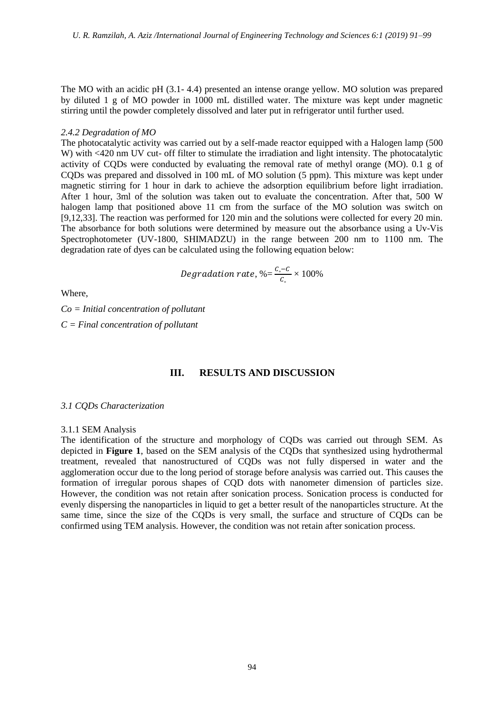The MO with an acidic pH (3.1- 4.4) presented an intense orange yellow. MO solution was prepared by diluted 1 g of MO powder in 1000 mL distilled water. The mixture was kept under magnetic stirring until the powder completely dissolved and later put in refrigerator until further used.

#### *2.4.2 Degradation of MO*

The photocatalytic activity was carried out by a self-made reactor equipped with a Halogen lamp (500 W) with <420 nm UV cut- off filter to stimulate the irradiation and light intensity. The photocatalytic activity of CQDs were conducted by evaluating the removal rate of methyl orange (MO). 0.1 g of CQDs was prepared and dissolved in 100 mL of MO solution (5 ppm). This mixture was kept under magnetic stirring for 1 hour in dark to achieve the adsorption equilibrium before light irradiation. After 1 hour, 3ml of the solution was taken out to evaluate the concentration. After that, 500 W halogen lamp that positioned above 11 cm from the surface of the MO solution was switch on [9,12,33]. The reaction was performed for 120 min and the solutions were collected for every 20 min. The absorbance for both solutions were determined by measure out the absorbance using a Uv-Vis Spectrophotometer (UV-1800, SHIMADZU) in the range between 200 nm to 1100 nm. The degradation rate of dyes can be calculated using the following equation below:

$$
Degradation\ rate,\ \% = \frac{c_{\circ}-c}{c_{\circ}}\times100\%
$$

Where,

*Co = Initial concentration of pollutant* 

*C = Final concentration of pollutant*

### **III. RESULTS AND DISCUSSION**

#### *3.1 CQDs Characterization*

#### 3.1.1 SEM Analysis

The identification of the structure and morphology of CQDs was carried out through SEM. As depicted in **Figure 1**, based on the SEM analysis of the CQDs that synthesized using hydrothermal treatment, revealed that nanostructured of CQDs was not fully dispersed in water and the agglomeration occur due to the long period of storage before analysis was carried out. This causes the formation of irregular porous shapes of CQD dots with nanometer dimension of particles size. However, the condition was not retain after sonication process. Sonication process is conducted for evenly dispersing the nanoparticles in liquid to get a better result of the nanoparticles structure. At the same time, since the size of the CQDs is very small, the surface and structure of CQDs can be confirmed using TEM analysis. However, the condition was not retain after sonication process.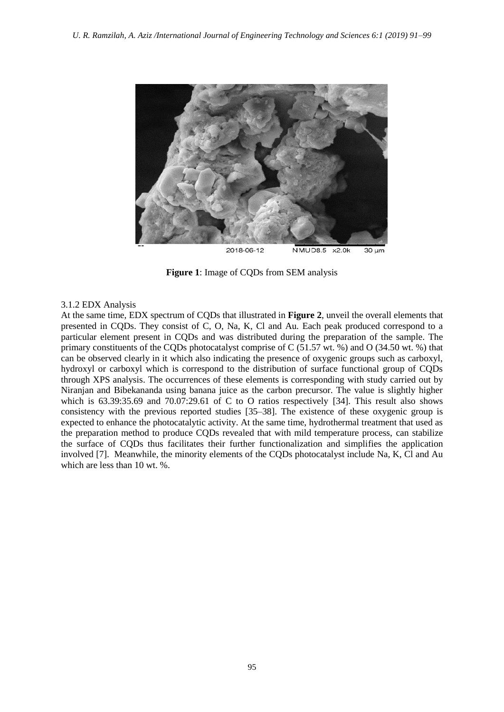

**Figure 1**: Image of CQDs from SEM analysis

### 3.1.2 EDX Analysis

At the same time, EDX spectrum of CQDs that illustrated in **Figure 2**, unveil the overall elements that presented in CQDs. They consist of C, O, Na, K, Cl and Au. Each peak produced correspond to a particular element present in CQDs and was distributed during the preparation of the sample. The primary constituents of the CODs photocatalyst comprise of C  $(51.57 \text{ wt. }%)$  and O  $(34.50 \text{ wt. }%)$  that can be observed clearly in it which also indicating the presence of oxygenic groups such as carboxyl, hydroxyl or carboxyl which is correspond to the distribution of surface functional group of CQDs through XPS analysis. The occurrences of these elements is corresponding with study carried out by Niranjan and Bibekananda using banana juice as the carbon precursor. The value is slightly higher which is 63.39:35.69 and 70.07:29.61 of C to O ratios respectively [34]. This result also shows consistency with the previous reported studies [35–38]. The existence of these oxygenic group is expected to enhance the photocatalytic activity. At the same time, hydrothermal treatment that used as the preparation method to produce CQDs revealed that with mild temperature process, can stabilize the surface of CQDs thus facilitates their further functionalization and simplifies the application involved [7]. Meanwhile, the minority elements of the CQDs photocatalyst include Na, K, Cl and Au which are less than 10 wt. %.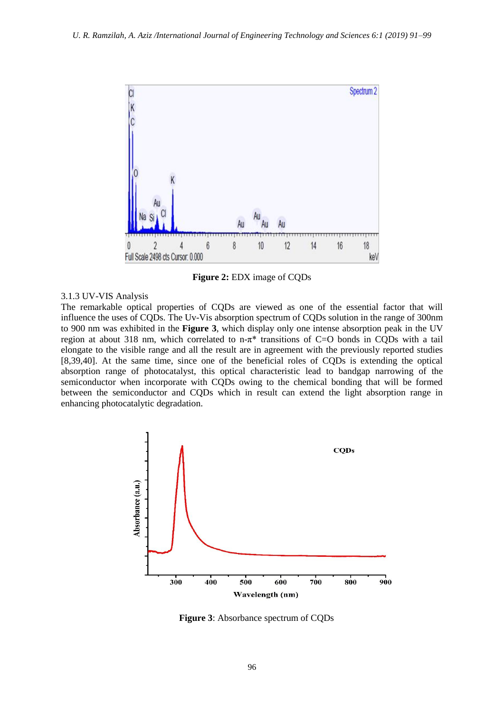

**Figure 2:** EDX image of CQDs

### 3.1.3 UV-VIS Analysis

The remarkable optical properties of CQDs are viewed as one of the essential factor that will influence the uses of CQDs. The Uv-Vis absorption spectrum of CQDs solution in the range of 300nm to 900 nm was exhibited in the **Figure 3**, which display only one intense absorption peak in the UV region at about 318 nm, which correlated to  $n-\pi^*$  transitions of C=O bonds in CODs with a tail elongate to the visible range and all the result are in agreement with the previously reported studies [8,39,40]. At the same time, since one of the beneficial roles of CQDs is extending the optical absorption range of photocatalyst, this optical characteristic lead to bandgap narrowing of the semiconductor when incorporate with CQDs owing to the chemical bonding that will be formed between the semiconductor and CQDs which in result can extend the light absorption range in enhancing photocatalytic degradation.



 **Figure 3**: Absorbance spectrum of CQDs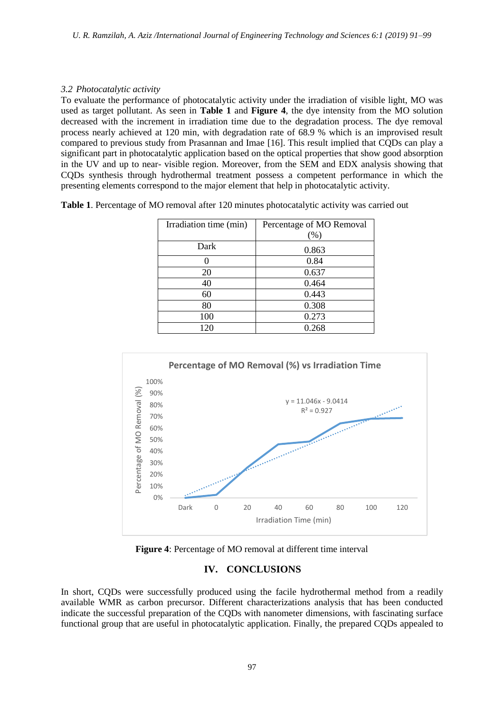# *3.2 Photocatalytic activity*

To evaluate the performance of photocatalytic activity under the irradiation of visible light, MO was used as target pollutant. As seen in **Table 1** and **Figure 4**, the dye intensity from the MO solution decreased with the increment in irradiation time due to the degradation process. The dye removal process nearly achieved at 120 min, with degradation rate of 68.9 % which is an improvised result compared to previous study from Prasannan and Imae [16]. This result implied that CQDs can play a significant part in photocatalytic application based on the optical properties that show good absorption in the UV and up to near- visible region. Moreover, from the SEM and EDX analysis showing that CQDs synthesis through hydrothermal treatment possess a competent performance in which the presenting elements correspond to the major element that help in photocatalytic activity.

**Table 1**. Percentage of MO removal after 120 minutes photocatalytic activity was carried out

| Irradiation time (min) | Percentage of MO Removal |
|------------------------|--------------------------|
|                        | $(\% )$                  |
| Dark                   | 0.863                    |
|                        | 0.84                     |
| 20                     | 0.637                    |
| 40                     | 0.464                    |
| 60                     | 0.443                    |
| 80                     | 0.308                    |
| 100                    | 0.273                    |
| 120                    | 0.268                    |



**Figure 4**: Percentage of MO removal at different time interval

# **IV. CONCLUSIONS**

In short, CQDs were successfully produced using the facile hydrothermal method from a readily available WMR as carbon precursor. Different characterizations analysis that has been conducted indicate the successful preparation of the CQDs with nanometer dimensions, with fascinating surface functional group that are useful in photocatalytic application. Finally, the prepared CQDs appealed to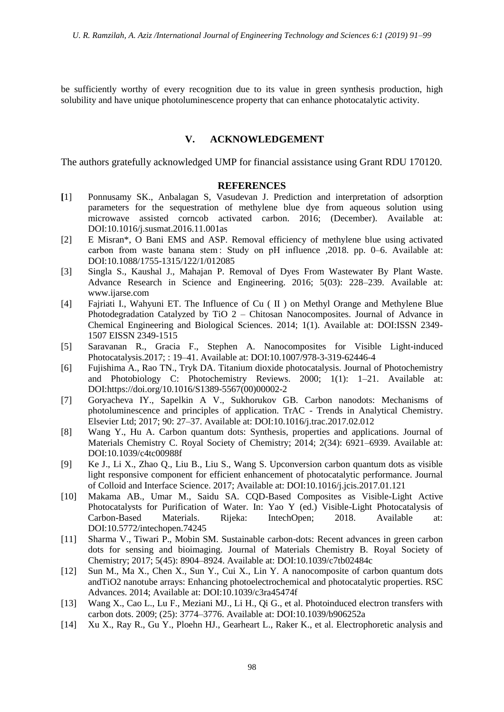be sufficiently worthy of every recognition due to its value in green synthesis production, high solubility and have unique photoluminescence property that can enhance photocatalytic activity.

# **V. ACKNOWLEDGEMENT**

The authors gratefully acknowledged UMP for financial assistance using Grant RDU 170120.

# **REFERENCES**

- **[**1] Ponnusamy SK., Anbalagan S, Vasudevan J. Prediction and interpretation of adsorption parameters for the sequestration of methylene blue dye from aqueous solution using microwave assisted corncob activated carbon. 2016; (December). Available at: DOI:10.1016/j.susmat.2016.11.001as
- [2] E Misran\*, O Bani EMS and ASP. Removal efficiency of methylene blue using activated carbon from waste banana stem : Study on pH influence ,2018. pp. 0–6. Available at: DOI:10.1088/1755-1315/122/1/012085
- [3] Singla S., Kaushal J., Mahajan P. Removal of Dyes From Wastewater By Plant Waste. Advance Research in Science and Engineering. 2016; 5(03): 228–239. Available at: www.ijarse.com
- [4] Fajriati I., Wahyuni ET. The Influence of Cu ( II ) on Methyl Orange and Methylene Blue Photodegradation Catalyzed by TiO 2 – Chitosan Nanocomposites. Journal of Advance in Chemical Engineering and Biological Sciences. 2014; 1(1). Available at: DOI:ISSN 2349- 1507 EISSN 2349-1515
- [5] Saravanan R., Gracia F., Stephen A. Nanocomposites for Visible Light-induced Photocatalysis.2017; : 19–41. Available at: DOI:10.1007/978-3-319-62446-4
- [6] Fujishima A., Rao TN., Tryk DA. Titanium dioxide photocatalysis. Journal of Photochemistry and Photobiology C: Photochemistry Reviews. 2000; 1(1): 1–21. Available at: DOI:https://doi.org/10.1016/S1389-5567(00)00002-2
- [7] Goryacheva IY., Sapelkin A V., Sukhorukov GB. Carbon nanodots: Mechanisms of photoluminescence and principles of application. TrAC - Trends in Analytical Chemistry. Elsevier Ltd; 2017; 90: 27–37. Available at: DOI:10.1016/j.trac.2017.02.012
- [8] Wang Y., Hu A. Carbon quantum dots: Synthesis, properties and applications. Journal of Materials Chemistry C. Royal Society of Chemistry; 2014; 2(34): 6921–6939. Available at: DOI:10.1039/c4tc00988f
- [9] Ke J., Li X., Zhao Q., Liu B., Liu S., Wang S. Upconversion carbon quantum dots as visible light responsive component for efficient enhancement of photocatalytic performance. Journal of Colloid and Interface Science. 2017; Available at: DOI:10.1016/j.jcis.2017.01.121
- [10] Makama AB., Umar M., Saidu SA. CQD-Based Composites as Visible-Light Active Photocatalysts for Purification of Water. In: Yao Y (ed.) Visible-Light Photocatalysis of Carbon-Based Materials. Rijeka: IntechOpen; 2018. Available at: DOI:10.5772/intechopen.74245
- [11] Sharma V., Tiwari P., Mobin SM. Sustainable carbon-dots: Recent advances in green carbon dots for sensing and bioimaging. Journal of Materials Chemistry B. Royal Society of Chemistry; 2017; 5(45): 8904–8924. Available at: DOI:10.1039/c7tb02484c
- [12] Sun M., Ma X., Chen X., Sun Y., Cui X., Lin Y. A nanocomposite of carbon quantum dots andTiO2 nanotube arrays: Enhancing photoelectrochemical and photocatalytic properties. RSC Advances. 2014; Available at: DOI:10.1039/c3ra45474f
- [13] Wang X., Cao L., Lu F., Meziani MJ., Li H., Qi G., et al. Photoinduced electron transfers with carbon dots. 2009; (25): 3774–3776. Available at: DOI:10.1039/b906252a
- [14] Xu X., Ray R., Gu Y., Ploehn HJ., Gearheart L., Raker K., et al. Electrophoretic analysis and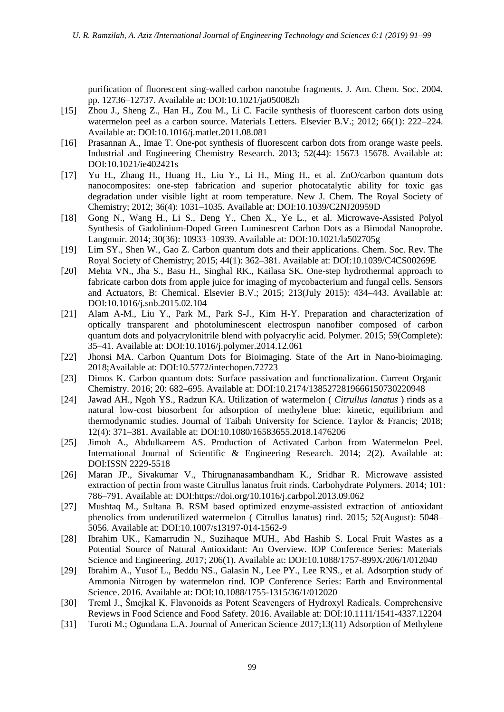purification of fluorescent sing-walled carbon nanotube fragments. J. Am. Chem. Soc. 2004. pp. 12736–12737. Available at: DOI:10.1021/ja050082h

- [15] Zhou J., Sheng Z., Han H., Zou M., Li C. Facile synthesis of fluorescent carbon dots using watermelon peel as a carbon source. Materials Letters. Elsevier B.V.; 2012; 66(1): 222–224. Available at: DOI:10.1016/j.matlet.2011.08.081
- [16] Prasannan A., Imae T. One-pot synthesis of fluorescent carbon dots from orange waste peels. Industrial and Engineering Chemistry Research. 2013; 52(44): 15673–15678. Available at: DOI:10.1021/ie402421s
- [17] Yu H., Zhang H., Huang H., Liu Y., Li H., Ming H., et al. ZnO/carbon quantum dots nanocomposites: one-step fabrication and superior photocatalytic ability for toxic gas degradation under visible light at room temperature. New J. Chem. The Royal Society of Chemistry; 2012; 36(4): 1031–1035. Available at: DOI:10.1039/C2NJ20959D
- [18] Gong N., Wang H., Li S., Deng Y., Chen X., Ye L., et al. Microwave-Assisted Polyol Synthesis of Gadolinium-Doped Green Luminescent Carbon Dots as a Bimodal Nanoprobe. Langmuir. 2014; 30(36): 10933–10939. Available at: DOI:10.1021/la502705g
- [19] Lim SY., Shen W., Gao Z. Carbon quantum dots and their applications. Chem. Soc. Rev. The Royal Society of Chemistry; 2015; 44(1): 362–381. Available at: DOI:10.1039/C4CS00269E
- [20] Mehta VN., Jha S., Basu H., Singhal RK., Kailasa SK. One-step hydrothermal approach to fabricate carbon dots from apple juice for imaging of mycobacterium and fungal cells. Sensors and Actuators, B: Chemical. Elsevier B.V.; 2015; 213(July 2015): 434–443. Available at: DOI:10.1016/j.snb.2015.02.104
- [21] Alam A-M., Liu Y., Park M., Park S-J., Kim H-Y. Preparation and characterization of optically transparent and photoluminescent electrospun nanofiber composed of carbon quantum dots and polyacrylonitrile blend with polyacrylic acid. Polymer. 2015; 59(Complete): 35–41. Available at: DOI:10.1016/j.polymer.2014.12.061
- [22] Jhonsi MA. Carbon Quantum Dots for Bioimaging. State of the Art in Nano-bioimaging. 2018;Available at: DOI:10.5772/intechopen.72723
- [23] Dimos K. Carbon quantum dots: Surface passivation and functionalization. Current Organic Chemistry. 2016; 20: 682–695. Available at: DOI:10.2174/1385272819666150730220948
- [24] Jawad AH., Ngoh YS., Radzun KA. Utilization of watermelon ( *Citrullus lanatus* ) rinds as a natural low-cost biosorbent for adsorption of methylene blue: kinetic, equilibrium and thermodynamic studies. Journal of Taibah University for Science. Taylor & Francis; 2018; 12(4): 371–381. Available at: DOI:10.1080/16583655.2018.1476206
- [25] Jimoh A., Abdulkareem AS. Production of Activated Carbon from Watermelon Peel. International Journal of Scientific & Engineering Research. 2014; 2(2). Available at: DOI:ISSN 2229-5518
- [26] Maran JP., Sivakumar V., Thirugnanasambandham K., Sridhar R. Microwave assisted extraction of pectin from waste Citrullus lanatus fruit rinds. Carbohydrate Polymers. 2014; 101: 786–791. Available at: DOI:https://doi.org/10.1016/j.carbpol.2013.09.062
- [27] Mushtaq M., Sultana B. RSM based optimized enzyme-assisted extraction of antioxidant phenolics from underutilized watermelon ( Citrullus lanatus) rind. 2015; 52(August): 5048– 5056. Available at: DOI:10.1007/s13197-014-1562-9
- [28] Ibrahim UK., Kamarrudin N., Suzihaque MUH., Abd Hashib S. Local Fruit Wastes as a Potential Source of Natural Antioxidant: An Overview. IOP Conference Series: Materials Science and Engineering. 2017; 206(1). Available at: DOI:10.1088/1757-899X/206/1/012040
- [29] Ibrahim A., Yusof L., Beddu NS., Galasin N., Lee PY., Lee RNS., et al. Adsorption study of Ammonia Nitrogen by watermelon rind. IOP Conference Series: Earth and Environmental Science. 2016. Available at: DOI:10.1088/1755-1315/36/1/012020
- [30] Treml J., Šmejkal K. Flavonoids as Potent Scavengers of Hydroxyl Radicals. Comprehensive Reviews in Food Science and Food Safety. 2016. Available at: DOI:10.1111/1541-4337.12204
- [31] Turoti M.; Ogundana E.A. Journal of American Science 2017;13(11) Adsorption of Methylene